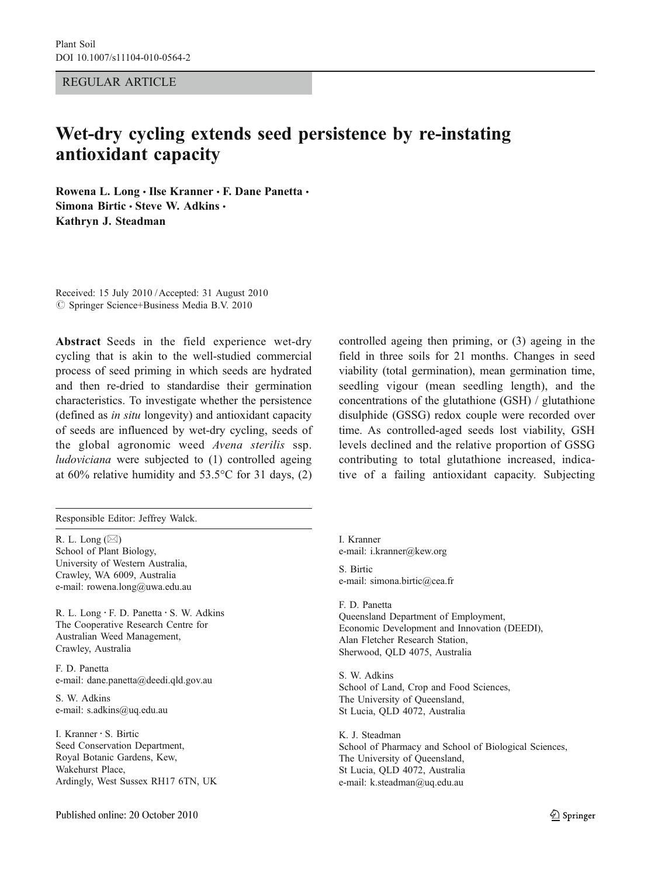REGULAR ARTICLE

# Wet-dry cycling extends seed persistence by re-instating antioxidant capacity

Rowena L. Long · Ilse Kranner · F. Dane Panetta · Simona Birtic · Steve W. Adkins · Kathryn J. Steadman

Received: 15 July 2010 /Accepted: 31 August 2010  $\circledcirc$  Springer Science+Business Media B.V. 2010

Abstract Seeds in the field experience wet-dry cycling that is akin to the well-studied commercial process of seed priming in which seeds are hydrated and then re-dried to standardise their germination characteristics. To investigate whether the persistence (defined as in situ longevity) and antioxidant capacity of seeds are influenced by wet-dry cycling, seeds of the global agronomic weed Avena sterilis ssp. ludoviciana were subjected to (1) controlled ageing at 60% relative humidity and 53.5°C for 31 days, (2)

Responsible Editor: Jeffrey Walck.

R. L. Long  $(\boxtimes)$ School of Plant Biology, University of Western Australia, Crawley, WA 6009, Australia e-mail: rowena.long@uwa.edu.au

R. L. Long · F. D. Panetta · S. W. Adkins The Cooperative Research Centre for Australian Weed Management, Crawley, Australia

F. D. Panetta e-mail: dane.panetta@deedi.qld.gov.au

S. W. Adkins e-mail: s.adkins@uq.edu.au

I. Kranner : S. Birtic Seed Conservation Department, Royal Botanic Gardens, Kew, Wakehurst Place, Ardingly, West Sussex RH17 6TN, UK field in three soils for 21 months. Changes in seed viability (total germination), mean germination time, seedling vigour (mean seedling length), and the concentrations of the glutathione (GSH) / glutathione disulphide (GSSG) redox couple were recorded over time. As controlled-aged seeds lost viability, GSH levels declined and the relative proportion of GSSG contributing to total glutathione increased, indicative of a failing antioxidant capacity. Subjecting

controlled ageing then priming, or (3) ageing in the

I. Kranner e-mail: i.kranner@kew.org S. Birtic e-mail: simona.birtic@cea.fr

F. D. Panetta Queensland Department of Employment, Economic Development and Innovation (DEEDI), Alan Fletcher Research Station, Sherwood, QLD 4075, Australia

S. W. Adkins School of Land, Crop and Food Sciences, The University of Queensland, St Lucia, QLD 4072, Australia

K. J. Steadman School of Pharmacy and School of Biological Sciences, The University of Queensland, St Lucia, QLD 4072, Australia e-mail: k.steadman@uq.edu.au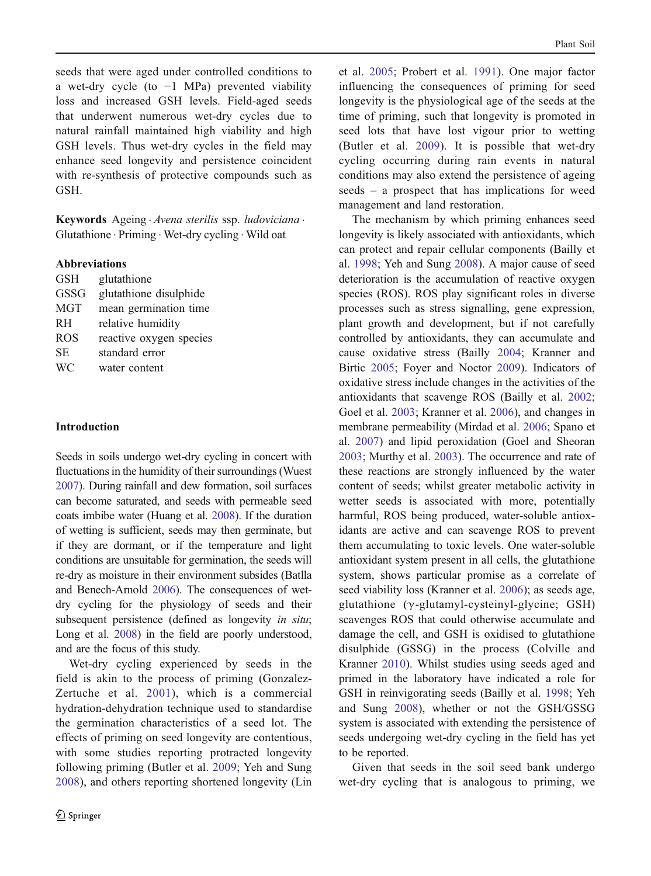seeds that were aged under controlled conditions to a wet-dry cycle (to −1 MPa) prevented viability loss and increased GSH levels. Field-aged seeds that underwent numerous wet-dry cycles due to natural rainfall maintained high viability and high GSH levels. Thus wet-dry cycles in the field may enhance seed longevity and persistence coincident with re-synthesis of protective compounds such as GSH.

Keywords Ageing · Avena sterilis ssp. ludoviciana · Glutathione . Priming . Wet-dry cycling . Wild oat

# Abbreviations

| <b>GSH</b> | glutathione             |
|------------|-------------------------|
| GSSG       | glutathione disulphide  |
| <b>MGT</b> | mean germination time   |
| <b>RH</b>  | relative humidity       |
| <b>ROS</b> | reactive oxygen species |
| SE.        | standard error          |
| WC.        | water content           |

#### Introduction

Seeds in soils undergo wet-dry cycling in concert with fluctuations in the humidity of their surroundings (Wuest [2007](#page-8-0)). During rainfall and dew formation, soil surfaces can become saturated, and seeds with permeable seed coats imbibe water (Huang et al. [2008](#page-8-0)). If the duration of wetting is sufficient, seeds may then germinate, but if they are dormant, or if the temperature and light conditions are unsuitable for germination, the seeds will re-dry as moisture in their environment subsides (Batlla and Benech-Arnold [2006\)](#page-8-0). The consequences of wetdry cycling for the physiology of seeds and their subsequent persistence (defined as longevity in situ; Long et al. [2008](#page-8-0)) in the field are poorly understood, and are the focus of this study.

Wet-dry cycling experienced by seeds in the field is akin to the process of priming (Gonzalez-Zertuche et al. [2001](#page-8-0)), which is a commercial hydration-dehydration technique used to standardise the germination characteristics of a seed lot. The effects of priming on seed longevity are contentious, with some studies reporting protracted longevity following priming (Butler et al. [2009](#page-8-0); Yeh and Sung [2008](#page-8-0)), and others reporting shortened longevity (Lin et al. [2005;](#page-8-0) Probert et al. [1991\)](#page-8-0). One major factor influencing the consequences of priming for seed longevity is the physiological age of the seeds at the time of priming, such that longevity is promoted in seed lots that have lost vigour prior to wetting (Butler et al. [2009](#page-8-0)). It is possible that wet-dry cycling occurring during rain events in natural conditions may also extend the persistence of ageing seeds – a prospect that has implications for weed management and land restoration.

The mechanism by which priming enhances seed longevity is likely associated with antioxidants, which can protect and repair cellular components (Bailly et al. [1998](#page-8-0); Yeh and Sung [2008](#page-8-0)). A major cause of seed deterioration is the accumulation of reactive oxygen species (ROS). ROS play significant roles in diverse processes such as stress signalling, gene expression, plant growth and development, but if not carefully controlled by antioxidants, they can accumulate and cause oxidative stress (Bailly [2004](#page-7-0); Kranner and Birtic [2005;](#page-8-0) Foyer and Noctor [2009\)](#page-8-0). Indicators of oxidative stress include changes in the activities of the antioxidants that scavenge ROS (Bailly et al. [2002;](#page-8-0) Goel et al. [2003](#page-8-0); Kranner et al. [2006](#page-8-0)), and changes in membrane permeability (Mirdad et al. [2006;](#page-8-0) Spano et al. [2007\)](#page-8-0) and lipid peroxidation (Goel and Sheoran [2003;](#page-8-0) Murthy et al. [2003\)](#page-8-0). The occurrence and rate of these reactions are strongly influenced by the water content of seeds; whilst greater metabolic activity in wetter seeds is associated with more, potentially harmful, ROS being produced, water-soluble antioxidants are active and can scavenge ROS to prevent them accumulating to toxic levels. One water-soluble antioxidant system present in all cells, the glutathione system, shows particular promise as a correlate of seed viability loss (Kranner et al. [2006\)](#page-8-0); as seeds age, glutathione (γ-glutamyl-cysteinyl-glycine; GSH) scavenges ROS that could otherwise accumulate and damage the cell, and GSH is oxidised to glutathione disulphide (GSSG) in the process (Colville and Kranner [2010](#page-8-0)). Whilst studies using seeds aged and primed in the laboratory have indicated a role for GSH in reinvigorating seeds (Bailly et al. [1998](#page-8-0); Yeh and Sung [2008\)](#page-8-0), whether or not the GSH/GSSG system is associated with extending the persistence of seeds undergoing wet-dry cycling in the field has yet to be reported.

Given that seeds in the soil seed bank undergo wet-dry cycling that is analogous to priming, we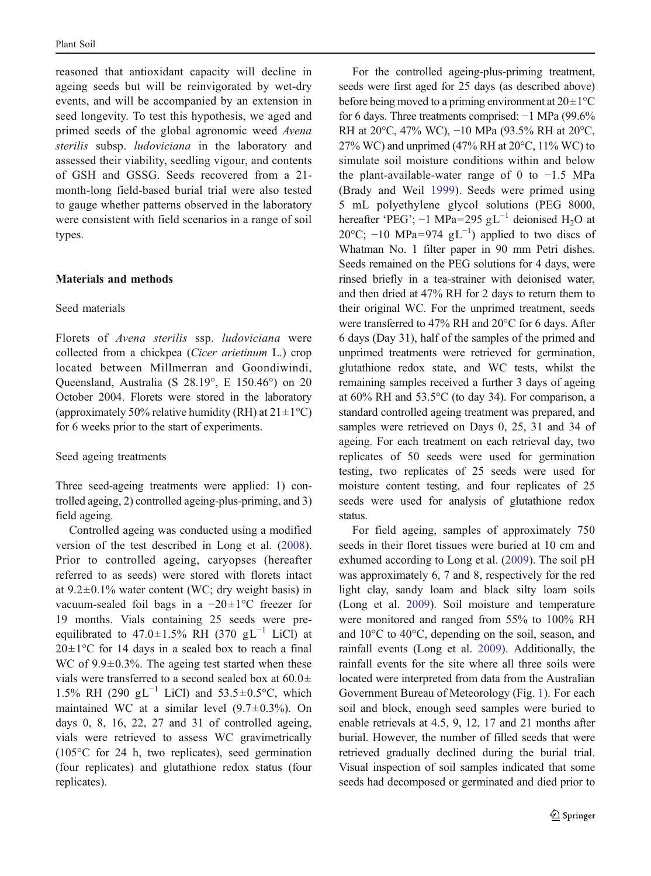reasoned that antioxidant capacity will decline in ageing seeds but will be reinvigorated by wet-dry events, and will be accompanied by an extension in seed longevity. To test this hypothesis, we aged and primed seeds of the global agronomic weed Avena sterilis subsp. ludoviciana in the laboratory and assessed their viability, seedling vigour, and contents of GSH and GSSG. Seeds recovered from a 21 month-long field-based burial trial were also tested to gauge whether patterns observed in the laboratory were consistent with field scenarios in a range of soil types.

#### Materials and methods

# Seed materials

Florets of Avena sterilis ssp. ludoviciana were collected from a chickpea (Cicer arietinum L.) crop located between Millmerran and Goondiwindi, Queensland, Australia (S 28.19°, E 150.46°) on 20 October 2004. Florets were stored in the laboratory (approximately 50% relative humidity (RH) at  $21 \pm 1$ °C) for 6 weeks prior to the start of experiments.

# Seed ageing treatments

Three seed-ageing treatments were applied: 1) controlled ageing, 2) controlled ageing-plus-priming, and 3) field ageing.

Controlled ageing was conducted using a modified version of the test described in Long et al. ([2008](#page-8-0)). Prior to controlled ageing, caryopses (hereafter referred to as seeds) were stored with florets intact at  $9.2 \pm 0.1\%$  water content (WC; dry weight basis) in vacuum-sealed foil bags in a −20±1°C freezer for 19 months. Vials containing 25 seeds were preequilibrated to 47.0±1.5% RH (370 gL<sup>-1</sup> LiCl) at  $20 \pm 1$ °C for 14 days in a sealed box to reach a final WC of 9.9 $\pm$ 0.3%. The ageing test started when these vials were transferred to a second sealed box at  $60.0\pm$ 1.5% RH (290 gL<sup>-1</sup> LiCl) and 53.5±0.5°C, which maintained WC at a similar level  $(9.7 \pm 0.3\%)$ . On days 0, 8, 16, 22, 27 and 31 of controlled ageing, vials were retrieved to assess WC gravimetrically (105°C for 24 h, two replicates), seed germination (four replicates) and glutathione redox status (four replicates).

For the controlled ageing-plus-priming treatment, seeds were first aged for 25 days (as described above) before being moved to a priming environment at  $20 \pm 1^{\circ}$ C for 6 days. Three treatments comprised: −1 MPa (99.6% RH at 20°C, 47% WC), −10 MPa (93.5% RH at 20°C, 27% WC) and unprimed (47% RH at  $20^{\circ}$ C, 11% WC) to simulate soil moisture conditions within and below the plant-available-water range of 0 to −1.5 MPa (Brady and Weil [1999\)](#page-8-0). Seeds were primed using 5 mL polyethylene glycol solutions (PEG 8000, hereafter 'PEG'; -1 MPa=295 gL<sup>-1</sup> deionised H<sub>2</sub>O at 20 $\degree$ C; -10 MPa=974 gL<sup>-1</sup>) applied to two discs of Whatman No. 1 filter paper in 90 mm Petri dishes. Seeds remained on the PEG solutions for 4 days, were rinsed briefly in a tea-strainer with deionised water, and then dried at 47% RH for 2 days to return them to their original WC. For the unprimed treatment, seeds were transferred to 47% RH and 20°C for 6 days. After 6 days (Day 31), half of the samples of the primed and unprimed treatments were retrieved for germination, glutathione redox state, and WC tests, whilst the remaining samples received a further 3 days of ageing at 60% RH and 53.5°C (to day 34). For comparison, a standard controlled ageing treatment was prepared, and samples were retrieved on Days 0, 25, 31 and 34 of ageing. For each treatment on each retrieval day, two replicates of 50 seeds were used for germination testing, two replicates of 25 seeds were used for moisture content testing, and four replicates of 25 seeds were used for analysis of glutathione redox status.

For field ageing, samples of approximately 750 seeds in their floret tissues were buried at 10 cm and exhumed according to Long et al. ([2009\)](#page-8-0). The soil pH was approximately 6, 7 and 8, respectively for the red light clay, sandy loam and black silty loam soils (Long et al. [2009\)](#page-8-0). Soil moisture and temperature were monitored and ranged from 55% to 100% RH and 10°C to 40°C, depending on the soil, season, and rainfall events (Long et al. [2009\)](#page-8-0). Additionally, the rainfall events for the site where all three soils were located were interpreted from data from the Australian Government Bureau of Meteorology (Fig. [1](#page-3-0)). For each soil and block, enough seed samples were buried to enable retrievals at 4.5, 9, 12, 17 and 21 months after burial. However, the number of filled seeds that were retrieved gradually declined during the burial trial. Visual inspection of soil samples indicated that some seeds had decomposed or germinated and died prior to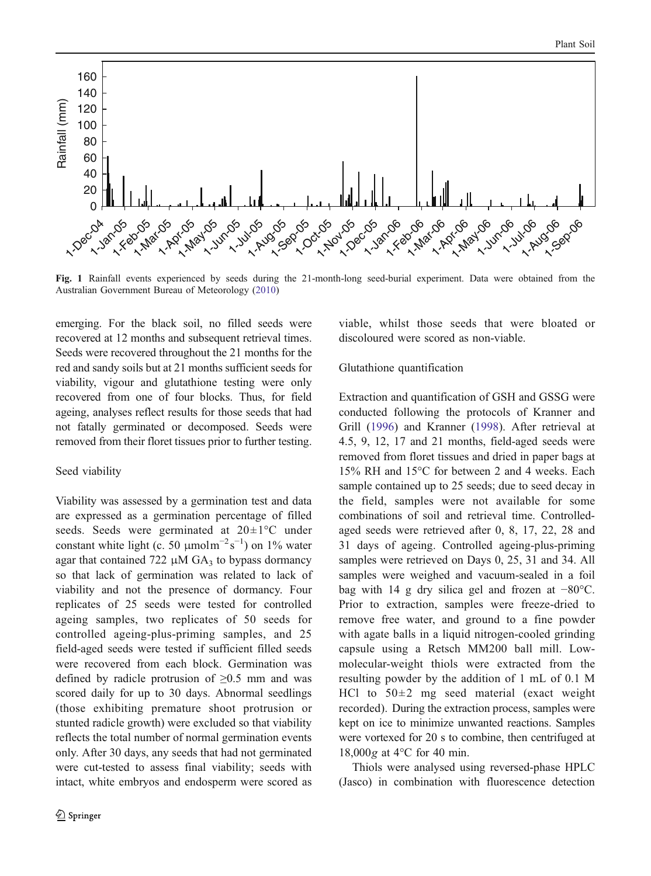<span id="page-3-0"></span>

Fig. 1 Rainfall events experienced by seeds during the 21-month-long seed-burial experiment. Data were obtained from the Australian Government Bureau of Meteorology ([2010\)](#page-7-0)

emerging. For the black soil, no filled seeds were recovered at 12 months and subsequent retrieval times. Seeds were recovered throughout the 21 months for the red and sandy soils but at 21 months sufficient seeds for viability, vigour and glutathione testing were only recovered from one of four blocks. Thus, for field ageing, analyses reflect results for those seeds that had not fatally germinated or decomposed. Seeds were removed from their floret tissues prior to further testing.

# Seed viability

Viability was assessed by a germination test and data are expressed as a germination percentage of filled seeds. Seeds were germinated at 20±1°C under constant white light (c. 50  $\mu$ molm<sup>-2</sup>s<sup>-1</sup>) on 1% water agar that contained 722  $\mu$ M GA<sub>3</sub> to bypass dormancy so that lack of germination was related to lack of viability and not the presence of dormancy. Four replicates of 25 seeds were tested for controlled ageing samples, two replicates of 50 seeds for controlled ageing-plus-priming samples, and 25 field-aged seeds were tested if sufficient filled seeds were recovered from each block. Germination was defined by radicle protrusion of  $\geq 0.5$  mm and was scored daily for up to 30 days. Abnormal seedlings (those exhibiting premature shoot protrusion or stunted radicle growth) were excluded so that viability reflects the total number of normal germination events only. After 30 days, any seeds that had not germinated were cut-tested to assess final viability; seeds with intact, white embryos and endosperm were scored as viable, whilst those seeds that were bloated or discoloured were scored as non-viable.

#### Glutathione quantification

Extraction and quantification of GSH and GSSG were conducted following the protocols of Kranner and Grill ([1996](#page-8-0)) and Kranner [\(1998](#page-8-0)). After retrieval at 4.5, 9, 12, 17 and 21 months, field-aged seeds were removed from floret tissues and dried in paper bags at 15% RH and 15°C for between 2 and 4 weeks. Each sample contained up to 25 seeds; due to seed decay in the field, samples were not available for some combinations of soil and retrieval time. Controlledaged seeds were retrieved after 0, 8, 17, 22, 28 and 31 days of ageing. Controlled ageing-plus-priming samples were retrieved on Days 0, 25, 31 and 34. All samples were weighed and vacuum-sealed in a foil bag with 14 g dry silica gel and frozen at −80°C. Prior to extraction, samples were freeze-dried to remove free water, and ground to a fine powder with agate balls in a liquid nitrogen-cooled grinding capsule using a Retsch MM200 ball mill. Lowmolecular-weight thiols were extracted from the resulting powder by the addition of 1 mL of 0.1 M HCl to  $50\pm2$  mg seed material (exact weight) recorded). During the extraction process, samples were kept on ice to minimize unwanted reactions. Samples were vortexed for 20 s to combine, then centrifuged at 18,000g at 4°C for 40 min.

Thiols were analysed using reversed-phase HPLC (Jasco) in combination with fluorescence detection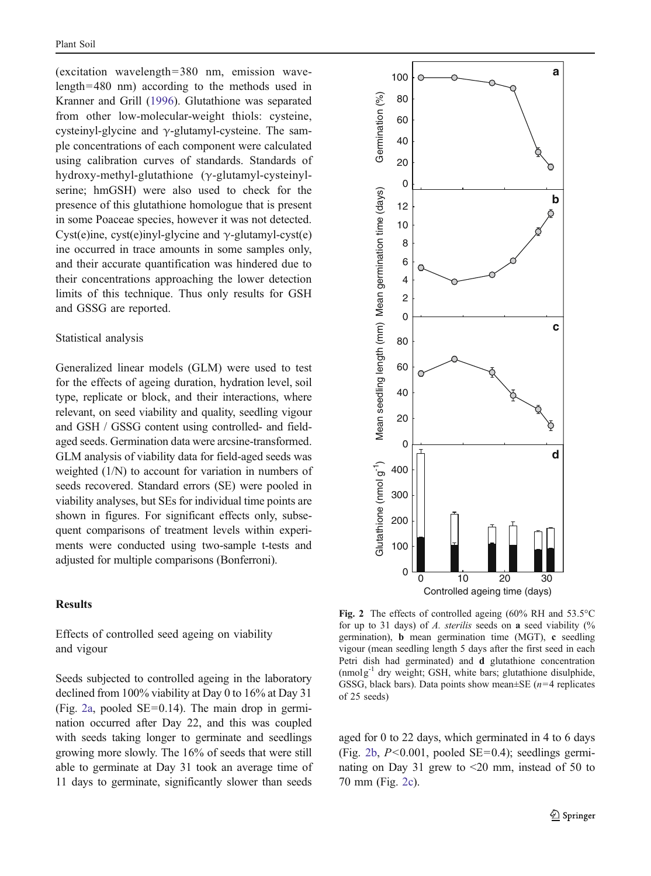<span id="page-4-0"></span>(excitation wavelength=380 nm, emission wavelength=480 nm) according to the methods used in Kranner and Grill [\(1996](#page-8-0)). Glutathione was separated from other low-molecular-weight thiols: cysteine, cysteinyl-glycine and  $\gamma$ -glutamyl-cysteine. The sample concentrations of each component were calculated using calibration curves of standards. Standards of hydroxy-methyl-glutathione (γ-glutamyl-cysteinylserine; hmGSH) were also used to check for the presence of this glutathione homologue that is present in some Poaceae species, however it was not detected. Cyst(e)ine, cyst(e)inyl-glycine and  $\gamma$ -glutamyl-cyst(e) ine occurred in trace amounts in some samples only, and their accurate quantification was hindered due to their concentrations approaching the lower detection limits of this technique. Thus only results for GSH and GSSG are reported.

#### Statistical analysis

Generalized linear models (GLM) were used to test for the effects of ageing duration, hydration level, soil type, replicate or block, and their interactions, where relevant, on seed viability and quality, seedling vigour and GSH / GSSG content using controlled- and fieldaged seeds. Germination data were arcsine-transformed. GLM analysis of viability data for field-aged seeds was weighted (1/N) to account for variation in numbers of seeds recovered. Standard errors (SE) were pooled in viability analyses, but SEs for individual time points are shown in figures. For significant effects only, subsequent comparisons of treatment levels within experiments were conducted using two-sample t-tests and adjusted for multiple comparisons (Bonferroni).

# Results

Effects of controlled seed ageing on viability and vigour

Seeds subjected to controlled ageing in the laboratory declined from 100% viability at Day 0 to 16% at Day 31 (Fig. 2a, pooled  $SE=0.14$ ). The main drop in germination occurred after Day 22, and this was coupled with seeds taking longer to germinate and seedlings growing more slowly. The 16% of seeds that were still able to germinate at Day 31 took an average time of 11 days to germinate, significantly slower than seeds



Fig. 2 The effects of controlled ageing (60% RH and 53.5°C for up to 31 days) of A. sterilis seeds on a seed viability  $\frac{6}{6}$ germination), b mean germination time (MGT), c seedling vigour (mean seedling length 5 days after the first seed in each Petri dish had germinated) and d glutathione concentration  $(nmolg<sup>-1</sup>$  dry weight; GSH, white bars; glutathione disulphide, GSSG, black bars). Data points show mean $\pm$ SE (*n*=4 replicates of 25 seeds)

aged for 0 to 22 days, which germinated in 4 to 6 days (Fig. 2b,  $P<0.001$ , pooled SE=0.4); seedlings germinating on Day 31 grew to <20 mm, instead of 50 to 70 mm (Fig. 2c).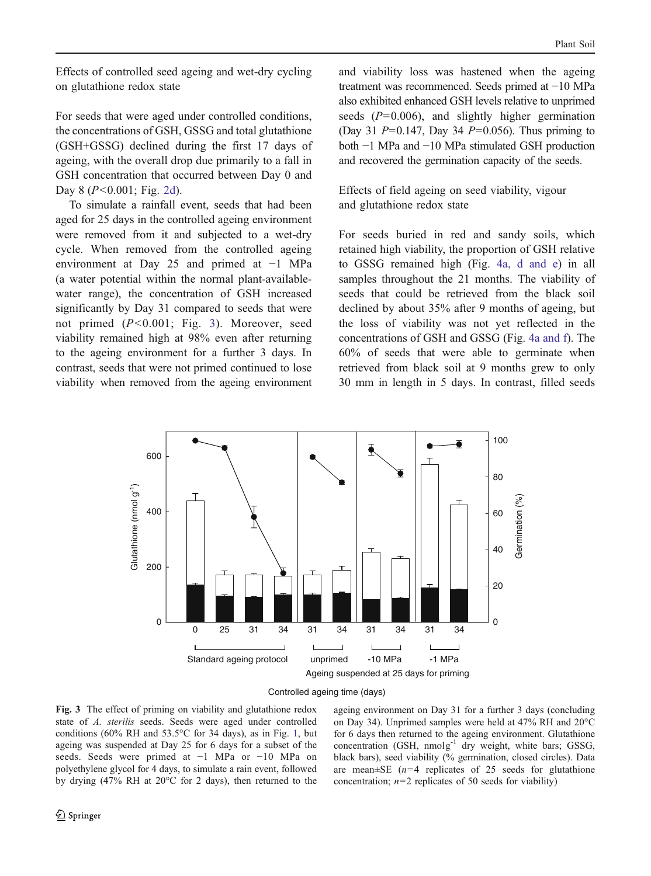Effects of controlled seed ageing and wet-dry cycling on glutathione redox state

For seeds that were aged under controlled conditions, the concentrations of GSH, GSSG and total glutathione (GSH+GSSG) declined during the first 17 days of ageing, with the overall drop due primarily to a fall in GSH concentration that occurred between Day 0 and Day 8 ( $P < 0.001$ ; Fig. [2d\)](#page-4-0).

To simulate a rainfall event, seeds that had been aged for 25 days in the controlled ageing environment were removed from it and subjected to a wet-dry cycle. When removed from the controlled ageing environment at Day 25 and primed at −1 MPa (a water potential within the normal plant-availablewater range), the concentration of GSH increased significantly by Day 31 compared to seeds that were not primed (P<0.001; Fig. 3). Moreover, seed viability remained high at 98% even after returning to the ageing environment for a further 3 days. In contrast, seeds that were not primed continued to lose viability when removed from the ageing environment and viability loss was hastened when the ageing treatment was recommenced. Seeds primed at −10 MPa also exhibited enhanced GSH levels relative to unprimed seeds  $(P=0.006)$ , and slightly higher germination (Day 31  $P=0.147$ , Day 34  $P=0.056$ ). Thus priming to both −1 MPa and −10 MPa stimulated GSH production and recovered the germination capacity of the seeds.

Effects of field ageing on seed viability, vigour and glutathione redox state

For seeds buried in red and sandy soils, which retained high viability, the proportion of GSH relative to GSSG remained high (Fig. [4a, d and e](#page-6-0)) in all samples throughout the 21 months. The viability of seeds that could be retrieved from the black soil declined by about 35% after 9 months of ageing, but the loss of viability was not yet reflected in the concentrations of GSH and GSSG (Fig. [4a and f\)](#page-6-0). The 60% of seeds that were able to germinate when retrieved from black soil at 9 months grew to only 30 mm in length in 5 days. In contrast, filled seeds



Controlled ageing time (days)

Fig. 3 The effect of priming on viability and glutathione redox state of A. sterilis seeds. Seeds were aged under controlled conditions (60% RH and  $53.5^{\circ}$ C for 34 days), as in Fig. [1,](#page-3-0) but ageing was suspended at Day 25 for 6 days for a subset of the seeds. Seeds were primed at −1 MPa or −10 MPa on polyethylene glycol for 4 days, to simulate a rain event, followed by drying (47% RH at 20°C for 2 days), then returned to the ageing environment on Day 31 for a further 3 days (concluding on Day 34). Unprimed samples were held at 47% RH and 20°C for 6 days then returned to the ageing environment. Glutathione concentration (GSH, nmolg<sup>-1</sup> dry weight, white bars; GSSG, black bars), seed viability (% germination, closed circles). Data are mean $\pm$ SE (*n*=4 replicates of 25 seeds for glutathione concentration;  $n=2$  replicates of 50 seeds for viability)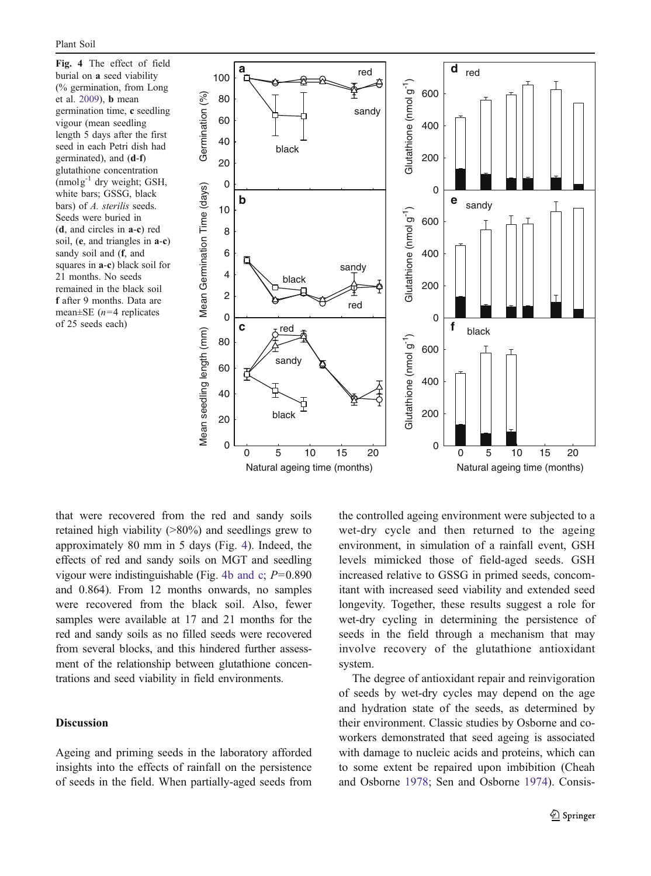<span id="page-6-0"></span>Fig. 4 The effect of field burial on a seed viability (% germination, from Long et al. [2009](#page-8-0)), b mean germination time, c seedling vigour (mean seedling length 5 days after the first seed in each Petri dish had germinated), and (d-f) glutathione concentration  $(mmolg<sup>-1</sup>$  dry weight; GSH, white bars; GSSG, black bars) of A. sterilis seeds. Seeds were buried in (d, and circles in a-c) red soil, (e, and triangles in a-c) sandy soil and (f, and squares in a-c) black soil for 21 months. No seeds remained in the black soil f after 9 months. Data are mean $\pm$ SE (*n*=4 replicates of 25 seeds each)



that were recovered from the red and sandy soils retained high viability (>80%) and seedlings grew to approximately 80 mm in 5 days (Fig. 4). Indeed, the effects of red and sandy soils on MGT and seedling vigour were indistinguishable (Fig. 4b and c;  $P=0.890$ ) and 0.864). From 12 months onwards, no samples were recovered from the black soil. Also, fewer samples were available at 17 and 21 months for the red and sandy soils as no filled seeds were recovered from several blocks, and this hindered further assessment of the relationship between glutathione concentrations and seed viability in field environments.

#### Discussion

Ageing and priming seeds in the laboratory afforded insights into the effects of rainfall on the persistence of seeds in the field. When partially-aged seeds from the controlled ageing environment were subjected to a wet-dry cycle and then returned to the ageing environment, in simulation of a rainfall event, GSH levels mimicked those of field-aged seeds. GSH increased relative to GSSG in primed seeds, concomitant with increased seed viability and extended seed longevity. Together, these results suggest a role for wet-dry cycling in determining the persistence of seeds in the field through a mechanism that may involve recovery of the glutathione antioxidant system.

The degree of antioxidant repair and reinvigoration of seeds by wet-dry cycles may depend on the age and hydration state of the seeds, as determined by their environment. Classic studies by Osborne and coworkers demonstrated that seed ageing is associated with damage to nucleic acids and proteins, which can to some extent be repaired upon imbibition (Cheah and Osborne [1978](#page-8-0); Sen and Osborne [1974\)](#page-8-0). Consis-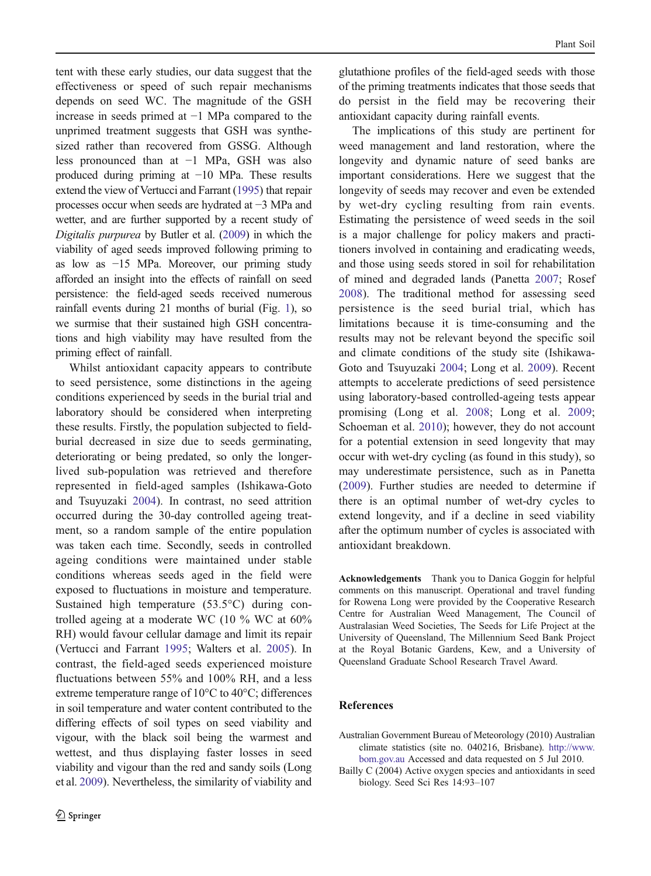<span id="page-7-0"></span>tent with these early studies, our data suggest that the effectiveness or speed of such repair mechanisms depends on seed WC. The magnitude of the GSH increase in seeds primed at −1 MPa compared to the unprimed treatment suggests that GSH was synthesized rather than recovered from GSSG. Although less pronounced than at −1 MPa, GSH was also produced during priming at −10 MPa. These results extend the view of Vertucci and Farrant [\(1995](#page-8-0)) that repair processes occur when seeds are hydrated at −3 MPa and wetter, and are further supported by a recent study of Digitalis purpurea by Butler et al. [\(2009\)](#page-8-0) in which the viability of aged seeds improved following priming to as low as −15 MPa. Moreover, our priming study afforded an insight into the effects of rainfall on seed persistence: the field-aged seeds received numerous rainfall events during 21 months of burial (Fig. [1](#page-3-0)), so we surmise that their sustained high GSH concentrations and high viability may have resulted from the priming effect of rainfall.

Whilst antioxidant capacity appears to contribute to seed persistence, some distinctions in the ageing conditions experienced by seeds in the burial trial and laboratory should be considered when interpreting these results. Firstly, the population subjected to fieldburial decreased in size due to seeds germinating, deteriorating or being predated, so only the longerlived sub-population was retrieved and therefore represented in field-aged samples (Ishikawa-Goto and Tsuyuzaki [2004\)](#page-8-0). In contrast, no seed attrition occurred during the 30-day controlled ageing treatment, so a random sample of the entire population was taken each time. Secondly, seeds in controlled ageing conditions were maintained under stable conditions whereas seeds aged in the field were exposed to fluctuations in moisture and temperature. Sustained high temperature (53.5°C) during controlled ageing at a moderate WC (10 % WC at 60% RH) would favour cellular damage and limit its repair (Vertucci and Farrant [1995](#page-8-0); Walters et al. [2005](#page-8-0)). In contrast, the field-aged seeds experienced moisture fluctuations between 55% and 100% RH, and a less extreme temperature range of 10°C to 40°C; differences in soil temperature and water content contributed to the differing effects of soil types on seed viability and vigour, with the black soil being the warmest and wettest, and thus displaying faster losses in seed viability and vigour than the red and sandy soils (Long et al. [2009](#page-8-0)). Nevertheless, the similarity of viability and glutathione profiles of the field-aged seeds with those of the priming treatments indicates that those seeds that do persist in the field may be recovering their antioxidant capacity during rainfall events.

The implications of this study are pertinent for weed management and land restoration, where the longevity and dynamic nature of seed banks are important considerations. Here we suggest that the longevity of seeds may recover and even be extended by wet-dry cycling resulting from rain events. Estimating the persistence of weed seeds in the soil is a major challenge for policy makers and practitioners involved in containing and eradicating weeds, and those using seeds stored in soil for rehabilitation of mined and degraded lands (Panetta [2007;](#page-8-0) Rosef [2008\)](#page-8-0). The traditional method for assessing seed persistence is the seed burial trial, which has limitations because it is time-consuming and the results may not be relevant beyond the specific soil and climate conditions of the study site (Ishikawa-Goto and Tsuyuzaki [2004;](#page-8-0) Long et al. [2009\)](#page-8-0). Recent attempts to accelerate predictions of seed persistence using laboratory-based controlled-ageing tests appear promising (Long et al. [2008;](#page-8-0) Long et al. [2009;](#page-8-0) Schoeman et al. [2010](#page-8-0)); however, they do not account for a potential extension in seed longevity that may occur with wet-dry cycling (as found in this study), so may underestimate persistence, such as in Panetta [\(2009](#page-8-0)). Further studies are needed to determine if there is an optimal number of wet-dry cycles to extend longevity, and if a decline in seed viability after the optimum number of cycles is associated with antioxidant breakdown.

Acknowledgements Thank you to Danica Goggin for helpful comments on this manuscript. Operational and travel funding for Rowena Long were provided by the Cooperative Research Centre for Australian Weed Management, The Council of Australasian Weed Societies, The Seeds for Life Project at the University of Queensland, The Millennium Seed Bank Project at the Royal Botanic Gardens, Kew, and a University of Queensland Graduate School Research Travel Award.

#### References

- Australian Government Bureau of Meteorology (2010) Australian climate statistics (site no. 040216, Brisbane). [http://www.](http://www.bom.gov.au) [bom.gov.au](http://www.bom.gov.au) Accessed and data requested on 5 Jul 2010.
- Bailly C (2004) Active oxygen species and antioxidants in seed biology. Seed Sci Res 14:93–107